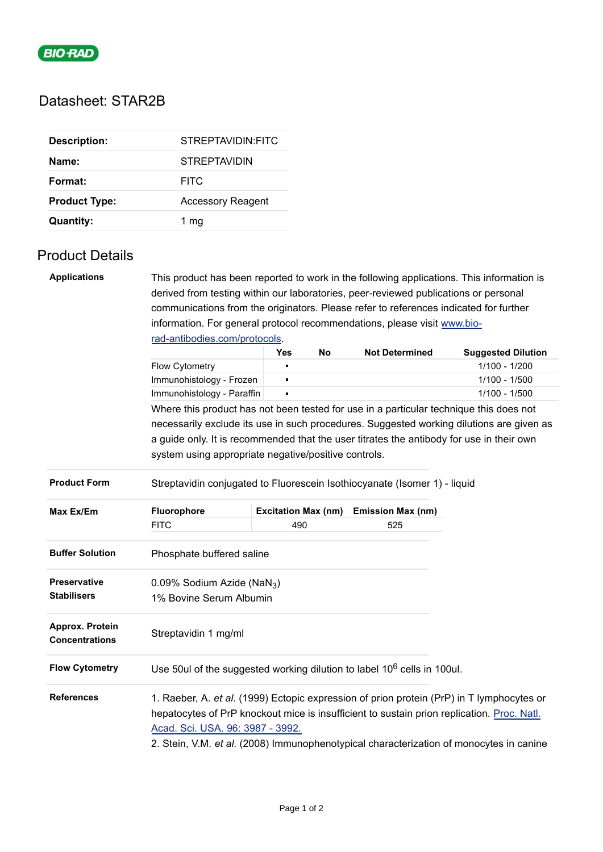

## Datasheet: STAR2B

| <b>Description:</b>  | STREPTAVIDIN: FITC       |
|----------------------|--------------------------|
| Name:                | <b>STREPTAVIDIN</b>      |
| Format:              | <b>FITC</b>              |
| <b>Product Type:</b> | <b>Accessory Reagent</b> |
| <b>Quantity:</b>     | 1 mg                     |

## Product Details

| <b>Applications</b>                      | This product has been reported to work in the following applications. This information is                 |                            |           |                          |                           |  |  |  |  |
|------------------------------------------|-----------------------------------------------------------------------------------------------------------|----------------------------|-----------|--------------------------|---------------------------|--|--|--|--|
|                                          | derived from testing within our laboratories, peer-reviewed publications or personal                      |                            |           |                          |                           |  |  |  |  |
|                                          | communications from the originators. Please refer to references indicated for further                     |                            |           |                          |                           |  |  |  |  |
|                                          | information. For general protocol recommendations, please visit www.bio-<br>rad-antibodies.com/protocols. |                            |           |                          |                           |  |  |  |  |
|                                          |                                                                                                           |                            |           |                          |                           |  |  |  |  |
|                                          |                                                                                                           | Yes                        | <b>No</b> | <b>Not Determined</b>    | <b>Suggested Dilution</b> |  |  |  |  |
|                                          | Flow Cytometry                                                                                            | n                          |           |                          | 1/100 - 1/200             |  |  |  |  |
|                                          | Immunohistology - Frozen                                                                                  | $\blacksquare$             |           |                          | 1/100 - 1/500             |  |  |  |  |
|                                          | Immunohistology - Paraffin                                                                                | $\blacksquare$             |           |                          | $1/100 - 1/500$           |  |  |  |  |
|                                          | Where this product has not been tested for use in a particular technique this does not                    |                            |           |                          |                           |  |  |  |  |
|                                          | necessarily exclude its use in such procedures. Suggested working dilutions are given as                  |                            |           |                          |                           |  |  |  |  |
|                                          | a guide only. It is recommended that the user titrates the antibody for use in their own                  |                            |           |                          |                           |  |  |  |  |
|                                          | system using appropriate negative/positive controls.                                                      |                            |           |                          |                           |  |  |  |  |
|                                          |                                                                                                           |                            |           |                          |                           |  |  |  |  |
| <b>Product Form</b>                      | Streptavidin conjugated to Fluorescein Isothiocyanate (Isomer 1) - liquid                                 |                            |           |                          |                           |  |  |  |  |
| Max Ex/Em                                | Fluorophore                                                                                               | <b>Excitation Max (nm)</b> |           | <b>Emission Max (nm)</b> |                           |  |  |  |  |
|                                          | <b>FITC</b>                                                                                               | 490                        |           | 525                      |                           |  |  |  |  |
| <b>Buffer Solution</b>                   | Phosphate buffered saline                                                                                 |                            |           |                          |                           |  |  |  |  |
|                                          |                                                                                                           |                            |           |                          |                           |  |  |  |  |
| Preservative                             | 0.09% Sodium Azide (NaN <sub>3</sub> )                                                                    |                            |           |                          |                           |  |  |  |  |
| <b>Stabilisers</b>                       | 1% Bovine Serum Albumin                                                                                   |                            |           |                          |                           |  |  |  |  |
| Approx. Protein<br><b>Concentrations</b> | Streptavidin 1 mg/ml                                                                                      |                            |           |                          |                           |  |  |  |  |
| <b>Flow Cytometry</b>                    | Use 50ul of the suggested working dilution to label $10^6$ cells in 100ul.                                |                            |           |                          |                           |  |  |  |  |
| <b>References</b>                        | 1. Raeber, A. et al. (1999) Ectopic expression of prion protein (PrP) in T lymphocytes or                 |                            |           |                          |                           |  |  |  |  |
|                                          | hepatocytes of PrP knockout mice is insufficient to sustain prion replication. Proc. Natl.                |                            |           |                          |                           |  |  |  |  |
|                                          | Acad. Sci. USA. 96: 3987 - 3992.                                                                          |                            |           |                          |                           |  |  |  |  |
|                                          | 2. Stein, V.M. et al. (2008) Immunophenotypical characterization of monocytes in canine                   |                            |           |                          |                           |  |  |  |  |